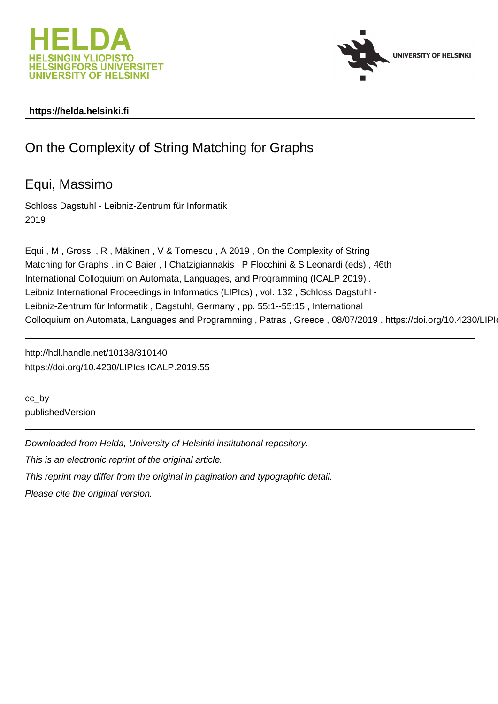



# **https://helda.helsinki.fi**

# On the Complexity of String Matching for Graphs

# Equi, Massimo

Schloss Dagstuhl - Leibniz-Zentrum für Informatik 2019

Equi , M , Grossi , R , Mäkinen , V & Tomescu , A 2019 , On the Complexity of String Matching for Graphs . in C Baier , I Chatzigiannakis , P Flocchini & S Leonardi (eds) , 46th International Colloquium on Automata, Languages, and Programming (ICALP 2019) . Leibniz International Proceedings in Informatics (LIPIcs) , vol. 132 , Schloss Dagstuhl - Leibniz-Zentrum für Informatik , Dagstuhl, Germany , pp. 55:1--55:15 , International Colloquium on Automata, Languages and Programming, Patras, Greece, 08/07/2019. https://doi.org/10.4230/LIPIc

http://hdl.handle.net/10138/310140 https://doi.org/10.4230/LIPIcs.ICALP.2019.55

cc\_by publishedVersion

Downloaded from Helda, University of Helsinki institutional repository.

This is an electronic reprint of the original article.

This reprint may differ from the original in pagination and typographic detail.

Please cite the original version.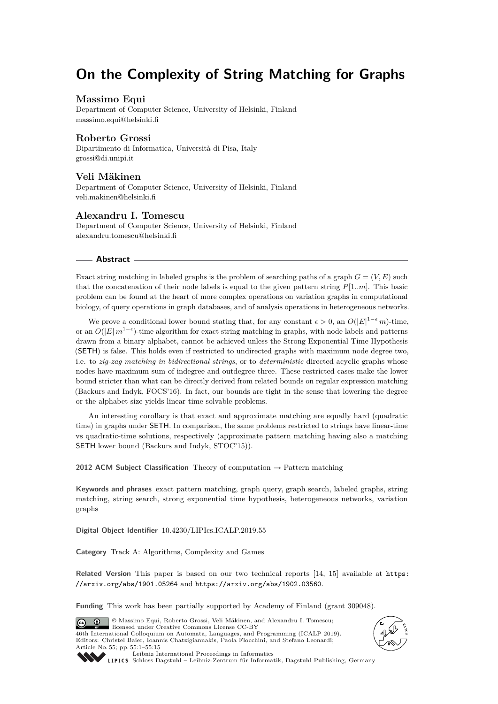# **On the Complexity of String Matching for Graphs**

#### **Massimo Equi**

Department of Computer Science, University of Helsinki, Finland [massimo.equi@helsinki.fi](mailto:massimo.equi@helsinki.fi)

## **Roberto Grossi**

Dipartimento di Informatica, Università di Pisa, Italy [grossi@di.unipi.it](mailto:grossi@di.unipi.it)

### **Veli Mäkinen**

Department of Computer Science, University of Helsinki, Finland [veli.makinen@helsinki.fi](mailto:veli.makinen@helsinki.fi)

## **Alexandru I. Tomescu**

Department of Computer Science, University of Helsinki, Finland [alexandru.tomescu@helsinki.fi](mailto:alexandru.tomescu@helsinki.fi)

#### **Abstract**

Exact string matching in labeled graphs is the problem of searching paths of a graph  $G = (V, E)$  such that the concatenation of their node labels is equal to the given pattern string *P*[1*..m*]. This basic problem can be found at the heart of more complex operations on variation graphs in computational biology, of query operations in graph databases, and of analysis operations in heterogeneous networks.

We prove a conditional lower bound stating that, for any constant  $\epsilon > 0$ , an  $O(|E|^{1-\epsilon}m)$ -time, or an  $O(|E| m^{1-\epsilon})$ -time algorithm for exact string matching in graphs, with node labels and patterns drawn from a binary alphabet, cannot be achieved unless the Strong Exponential Time Hypothesis (SETH) is false. This holds even if restricted to undirected graphs with maximum node degree two, i.e. to *zig-zag matching in bidirectional strings*, or to *deterministic* directed acyclic graphs whose nodes have maximum sum of indegree and outdegree three. These restricted cases make the lower bound stricter than what can be directly derived from related bounds on regular expression matching (Backurs and Indyk, FOCS'16). In fact, our bounds are tight in the sense that lowering the degree or the alphabet size yields linear-time solvable problems.

An interesting corollary is that exact and approximate matching are equally hard (quadratic time) in graphs under SETH. In comparison, the same problems restricted to strings have linear-time vs quadratic-time solutions, respectively (approximate pattern matching having also a matching SETH lower bound (Backurs and Indyk, STOC'15)).

**2012 ACM Subject Classification** Theory of computation → Pattern matching

**Keywords and phrases** exact pattern matching, graph query, graph search, labeled graphs, string matching, string search, strong exponential time hypothesis, heterogeneous networks, variation graphs

**Digital Object Identifier** [10.4230/LIPIcs.ICALP.2019.55](https://doi.org/10.4230/LIPIcs.ICALP.2019.55)

**Category** Track A: Algorithms, Complexity and Games

**Related Version** This paper is based on our two technical reports [14, 15] available at [https:](https://arxiv.org/abs/1901.05264) [//arxiv.org/abs/1901.05264](https://arxiv.org/abs/1901.05264) and <https://arxiv.org/abs/1902.03560>.

**Funding** This work has been partially supported by Academy of Finland (grant 309048).

© Massimo Equi, Roberto Grossi, Veli Mäkinen, and Alexandru I. Tomescu;  $\boxed{6}$   $\boxed{0}$ licensed under Creative Commons License CC-BY 46th International Colloquium on Automata, Languages, and Programming (ICALP 2019). Editors: Christel Baier, Ioannis Chatzigiannakis, Paola Flocchini, and Stefano Leonardi; Article No. 55; pp. 55:1–55:15





[Leibniz International Proceedings in Informatics](https://www.dagstuhl.de/lipics/)

[Schloss Dagstuhl – Leibniz-Zentrum für Informatik, Dagstuhl Publishing, Germany](https://www.dagstuhl.de)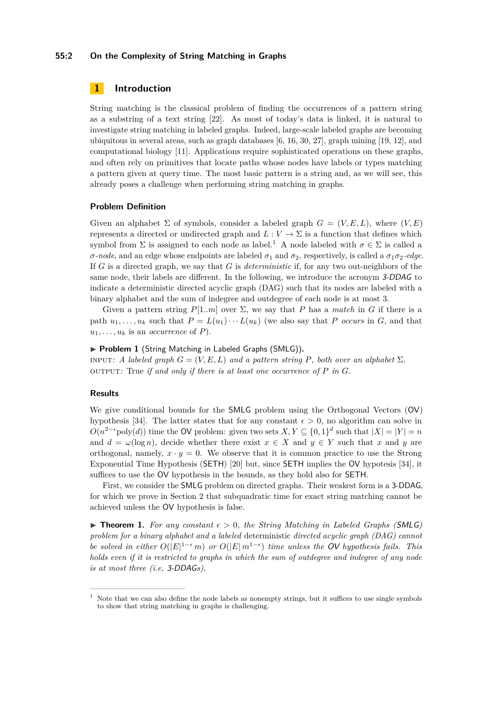#### **55:2 On the Complexity of String Matching in Graphs**

## **1 Introduction**

String matching is the classical problem of finding the occurrences of a pattern string as a substring of a text string [22]. As most of today's data is linked, it is natural to investigate string matching in labeled graphs. Indeed, large-scale labeled graphs are becoming ubiquitous in several areas, such as graph databases [6, 16, 30, 27], graph mining [19, 12], and computational biology [11]. Applications require sophisticated operations on these graphs, and often rely on primitives that locate paths whose nodes have labels or types matching a pattern given at query time. The most basic pattern is a string and, as we will see, this already poses a challenge when performing string matching in graphs.

#### **Problem Definition**

Given an alphabet  $\Sigma$  of symbols, consider a labeled graph  $G = (V, E, L)$ , where  $(V, E)$ represents a directed or undirected graph and  $L: V \to \Sigma$  is a function that defines which symbol from  $\Sigma$  is assigned to each node as label.<sup>1</sup> A node labeled with  $\sigma \in \Sigma$  is called a *σ*-*node*, and an edge whose endpoints are labeled  $σ_1$  and  $σ_2$ , respectively, is called a  $σ_1σ_2$ -edge. If *G* is a directed graph, we say that *G* is *deterministic* if, for any two out-neighbors of the same node, their labels are different. In the following, we introduce the acronym 3-DDAG to indicate a deterministic directed acyclic graph (DAG) such that its nodes are labeled with a binary alphabet and the sum of indegree and outdegree of each node is at most 3.

Given a pattern string  $P[1..m]$  over  $\Sigma$ , we say that P has a *match* in G if there is a path  $u_1, \ldots, u_k$  such that  $P = L(u_1) \cdots L(u_k)$  (we also say that *P occurs* in *G*, and that  $u_1, \ldots, u_k$  is an *occurrence* of *P*).

#### ▶ **Problem 1** (String Matching in Labeled Graphs (SMLG)).

in *Figurehi G* =  $(V, E, L)$  *and a pattern string P, both over an alphabet*  $\Sigma$ *.* output: True *if and only if there is at least one occurrence of*  $P$  *in*  $G$ *.* 

#### **Results**

We give conditional bounds for the SMLG problem using the Orthogonal Vectors (OV) hypothesis [34]. The latter states that for any constant  $\epsilon > 0$ , no algorithm can solve in  $O(n^{2-\epsilon} \text{poly}(d))$  time the OV problem: given two sets  $X, Y \subseteq \{0,1\}^d$  such that  $|X| = |Y| = n$ and  $d = \omega(\log n)$ , decide whether there exist  $x \in X$  and  $y \in Y$  such that *x* and *y* are orthogonal, namely,  $x \cdot y = 0$ . We observe that it is common practice to use the Strong Exponential Time Hypothesis (SETH) [20] but, since SETH implies the OV hypotesis [34], it suffices to use the OV hypothesis in the bounds, as they hold also for SETH.

First, we consider the SMLG problem on directed graphs. Their weakest form is a 3-DDAG, for which we prove in Section 2 that subquadratic time for exact string matching cannot be achieved unless the OV hypothesis is false.

**Findment 1.** For any constant  $\epsilon > 0$ , the String Matching in Labeled Graphs (SMLG) *problem for a binary alphabet and a labeled* deterministic *directed acyclic graph (DAG) cannot be solved in either*  $O(|E|^{1-\epsilon}m)$  *or*  $O(|E|m^{1-\epsilon})$  *time unless the OV hypothesis fails. This holds even if it is restricted to graphs in which the sum of outdegree and indegree of any node is at most three (i.e,* 3-DDAG*s).*

 $1$  Note that we can also define the node labels as nonempty strings, but it suffices to use single symbols to show that string matching in graphs is challenging.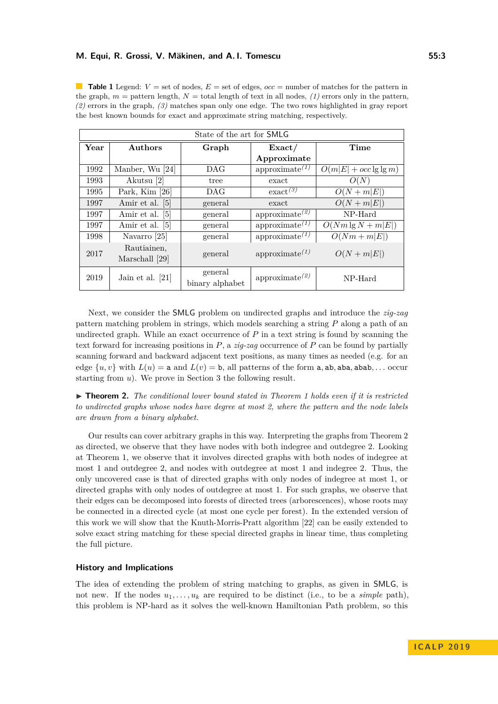**Table 1** Legend:  $V =$  set of nodes,  $E =$  set of edges,  $occ =$  number of matches for the pattern in the graph,  $m =$  pattern length,  $N =$  total length of text in all nodes, (1) errors only in the pattern, *(2)* errors in the graph, *(3)* matches span only one edge. The two rows highlighted in gray report the best known bounds for exact and approximate string matching, respectively.

| State of the art for <b>SMLG</b> |                               |                            |                                         |                           |
|----------------------------------|-------------------------------|----------------------------|-----------------------------------------|---------------------------|
| Year                             | <b>Authors</b>                | Graph                      | $\text{Exact}/$                         | Time                      |
|                                  |                               |                            | Approximate                             |                           |
| 1992                             | Manber, Wu [24]               | DAG                        | approximate $(1)$                       | $O(m E  + occ \lg \lg m)$ |
| 1993                             | Akutsu [2]                    | tree                       | exact                                   | O(N)                      |
| 1995                             | Park, Kim $[26]$              | DAG                        | $\operatorname{exact}^{(3)}$            | $O(N+m E )$               |
| 1997                             | Amir et al. [5]               | general                    | exact                                   | $O(N+m E )$               |
| 1997                             | Amir et al. [5]               | general                    | approximate <sup><math>(2)</math></sup> | NP-Hard                   |
| 1997                             | Amir et al. [5]               | general                    | approximate $(1)$                       | $O(Nm \lg N + m E )$      |
| 1998                             | Navarro [25]                  | general                    | approximate $^{(1)}$                    | $O(Nm + m E )$            |
| 2017                             | Rautiainen,<br>Marschall [29] | general                    | approximate $^{(1)}$                    | $O(N+m E )$               |
| 2019                             | Jain et al. $[21]$            | general<br>binary alphabet | approximate <sup><math>(2)</math></sup> | NP-Hard                   |

Next, we consider the SMLG problem on undirected graphs and introduce the *zig-zag* pattern matching problem in strings, which models searching a string *P* along a path of an undirected graph. While an exact occurrence of *P* in a text string is found by scanning the text forward for increasing positions in *P*, a *zig-zag* occurrence of *P* can be found by partially scanning forward and backward adjacent text positions, as many times as needed (e.g. for an edge  $\{u, v\}$  with  $L(u) = a$  and  $L(v) = b$ , all patterns of the form a, ab, aba, abab, ... occur starting from *u*). We prove in Section 3 the following result.

I **Theorem 2.** *The conditional lower bound stated in Theorem 1 holds even if it is restricted to undirected graphs whose nodes have degree at most 2, where the pattern and the node labels are drawn from a binary alphabet.*

Our results can cover arbitrary graphs in this way. Interpreting the graphs from Theorem 2 as directed, we observe that they have nodes with both indegree and outdegree 2. Looking at Theorem 1, we observe that it involves directed graphs with both nodes of indegree at most 1 and outdegree 2, and nodes with outdegree at most 1 and indegree 2. Thus, the only uncovered case is that of directed graphs with only nodes of indegree at most 1, or directed graphs with only nodes of outdegree at most 1. For such graphs, we observe that their edges can be decomposed into forests of directed trees (arborescences), whose roots may be connected in a directed cycle (at most one cycle per forest). In the extended version of this work we will show that the Knuth-Morris-Pratt algorithm [22] can be easily extended to solve exact string matching for these special directed graphs in linear time, thus completing the full picture.

#### **History and Implications**

The idea of extending the problem of string matching to graphs, as given in SMLG, is not new. If the nodes  $u_1, \ldots, u_k$  are required to be distinct (i.e., to be a *simple* path), this problem is NP-hard as it solves the well-known Hamiltonian Path problem, so this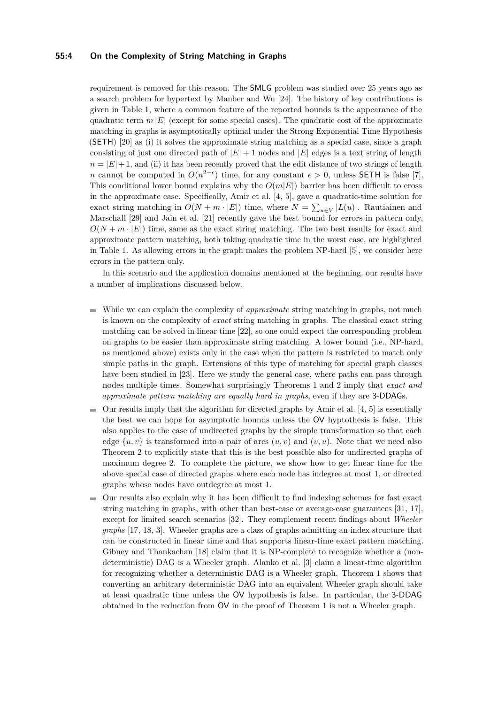#### **55:4 On the Complexity of String Matching in Graphs**

requirement is removed for this reason. The SMLG problem was studied over 25 years ago as a search problem for hypertext by Manber and Wu [24]. The history of key contributions is given in Table 1, where a common feature of the reported bounds is the appearance of the quadratic term  $m |E|$  (except for some special cases). The quadratic cost of the approximate matching in graphs is asymptotically optimal under the Strong Exponential Time Hypothesis (SETH) [20] as (i) it solves the approximate string matching as a special case, since a graph consisting of just one directed path of  $|E| + 1$  nodes and  $|E|$  edges is a text string of length  $n = |E| + 1$ , and (ii) it has been recently proved that the edit distance of two strings of length *n* cannot be computed in  $O(n^{2-\epsilon})$  time, for any constant  $\epsilon > 0$ , unless SETH is false [7]. This conditional lower bound explains why the  $O(m|E|)$  barrier has been difficult to cross in the approximate case. Specifically, Amir et al. [4, 5], gave a quadratic-time solution for exact string matching in  $O(N + m \cdot |E|)$  time, where  $N = \sum_{u \in V} |L(u)|$ . Rautiainen and Marschall [29] and Jain et al. [21] recently gave the best bound for errors in pattern only,  $O(N + m \cdot |E|)$  time, same as the exact string matching. The two best results for exact and approximate pattern matching, both taking quadratic time in the worst case, are highlighted in Table 1. As allowing errors in the graph makes the problem NP-hard [5], we consider here errors in the pattern only.

In this scenario and the application domains mentioned at the beginning, our results have a number of implications discussed below.

- While we can explain the complexity of *approximate* string matching in graphs, not much  $\rightarrow$ is known on the complexity of *exact* string matching in graphs. The classical exact string matching can be solved in linear time [22], so one could expect the corresponding problem on graphs to be easier than approximate string matching. A lower bound (i.e., NP-hard, as mentioned above) exists only in the case when the pattern is restricted to match only simple paths in the graph. Extensions of this type of matching for special graph classes have been studied in [23]. Here we study the general case, where paths can pass through nodes multiple times. Somewhat surprisingly Theorems 1 and 2 imply that *exact and approximate pattern matching are equally hard in graphs*, even if they are 3-DDAGs.
- $\blacksquare$  Our results imply that the algorithm for directed graphs by Amir et al. [4, 5] is essentially the best we can hope for asymptotic bounds unless the OV hyptothesis is false. This also applies to the case of undirected graphs by the simple transformation so that each edge  $\{u, v\}$  is transformed into a pair of arcs  $(u, v)$  and  $(v, u)$ . Note that we need also Theorem 2 to explicitly state that this is the best possible also for undirected graphs of maximum degree 2. To complete the picture, we show how to get linear time for the above special case of directed graphs where each node has indegree at most 1, or directed graphs whose nodes have outdegree at most 1.
- Our results also explain why it has been difficult to find indexing schemes for fast exact  $\blacksquare$ string matching in graphs, with other than best-case or average-case guarantees [31, 17], except for limited search scenarios [32]. They complement recent findings about *Wheeler graphs* [17, 18, 3]. Wheeler graphs are a class of graphs admitting an index structure that can be constructed in linear time and that supports linear-time exact pattern matching. Gibney and Thankachan [18] claim that it is NP-complete to recognize whether a (nondeterministic) DAG is a Wheeler graph. Alanko et al. [3] claim a linear-time algorithm for recognizing whether a deterministic DAG is a Wheeler graph. Theorem 1 shows that converting an arbitrary deterministic DAG into an equivalent Wheeler graph should take at least quadratic time unless the OV hypothesis is false. In particular, the 3-DDAG obtained in the reduction from OV in the proof of Theorem 1 is not a Wheeler graph.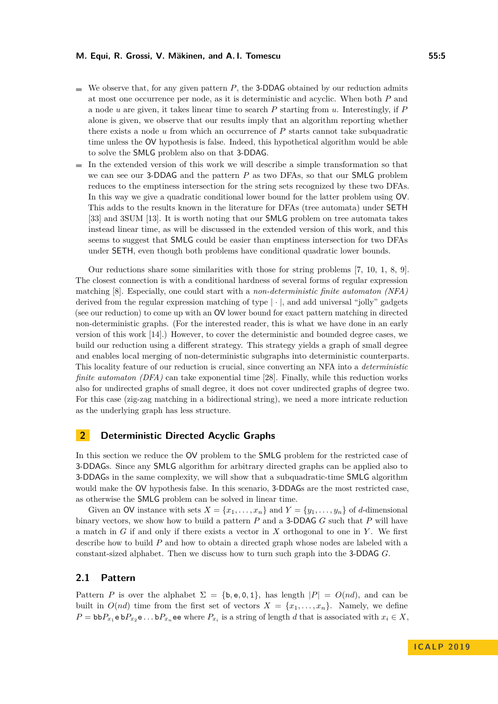- $\blacksquare$  We observe that, for any given pattern *P*, the 3-DDAG obtained by our reduction admits at most one occurrence per node, as it is deterministic and acyclic. When both *P* and a node *u* are given, it takes linear time to search *P* starting from *u*. Interestingly, if *P* alone is given, we observe that our results imply that an algorithm reporting whether there exists a node *u* from which an occurrence of *P* starts cannot take subquadratic time unless the OV hypothesis is false. Indeed, this hypothetical algorithm would be able to solve the SMLG problem also on that 3-DDAG.
- $\blacksquare$  In the extended version of this work we will describe a simple transformation so that we can see our 3-DDAG and the pattern *P* as two DFAs, so that our SMLG problem reduces to the emptiness intersection for the string sets recognized by these two DFAs. In this way we give a quadratic conditional lower bound for the latter problem using OV. This adds to the results known in the literature for DFAs (tree automata) under SETH [33] and 3SUM [13]. It is worth noting that our SMLG problem on tree automata takes instead linear time, as will be discussed in the extended version of this work, and this seems to suggest that SMLG could be easier than emptiness intersection for two DFAs under SETH, even though both problems have conditional quadratic lower bounds.

Our reductions share some similarities with those for string problems [7, 10, 1, 8, 9]. The closest connection is with a conditional hardness of several forms of regular expression matching [8]. Especially, one could start with a *non-deterministic finite automaton (NFA)* derived from the regular expression matching of type  $|\cdot|$ , and add universal "jolly" gadgets (see our reduction) to come up with an OV lower bound for exact pattern matching in directed non-deterministic graphs. (For the interested reader, this is what we have done in an early version of this work [14].) However, to cover the deterministic and bounded degree cases, we build our reduction using a different strategy. This strategy yields a graph of small degree and enables local merging of non-deterministic subgraphs into deterministic counterparts. This locality feature of our reduction is crucial, since converting an NFA into a *deterministic finite automaton (DFA)* can take exponential time [28]. Finally, while this reduction works also for undirected graphs of small degree, it does not cover undirected graphs of degree two. For this case (zig-zag matching in a bidirectional string), we need a more intricate reduction as the underlying graph has less structure.

# **2 Deterministic Directed Acyclic Graphs**

In this section we reduce the OV problem to the SMLG problem for the restricted case of 3-DDAGs. Since any SMLG algorithm for arbitrary directed graphs can be applied also to 3-DDAGs in the same complexity, we will show that a subquadratic-time SMLG algorithm would make the OV hypothesis false. In this scenario, 3-DDAGs are the most restricted case, as otherwise the SMLG problem can be solved in linear time.

Given an OV instance with sets  $X = \{x_1, \ldots, x_n\}$  and  $Y = \{y_1, \ldots, y_n\}$  of *d*-dimensional binary vectors, we show how to build a pattern *P* and a 3-DDAG *G* such that *P* will have a match in *G* if and only if there exists a vector in *X* orthogonal to one in *Y* . We first describe how to build *P* and how to obtain a directed graph whose nodes are labeled with a constant-sized alphabet. Then we discuss how to turn such graph into the 3-DDAG *G*.

## **2.1 Pattern**

Pattern *P* is over the alphabet  $\Sigma = \{b, e, 0, 1\}$ , has length  $|P| = O(nd)$ , and can be built in  $O(nd)$  time from the first set of vectors  $X = \{x_1, \ldots, x_n\}$ . Namely, we define  $P = \text{bb}P_{x_1} \text{e} \cdot \text{b} P_{x_2} \text{e} \dots \text{b} P_{x_n} \text{e} \text{e}$  where  $P_{x_i}$  is a string of length *d* that is associated with  $x_i \in X$ ,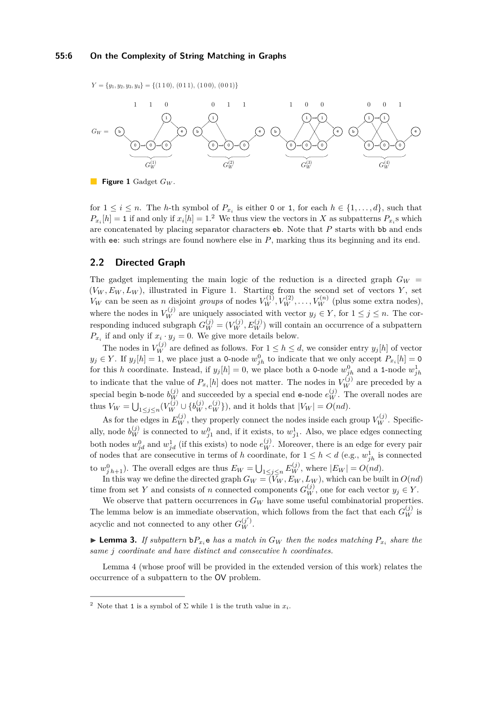#### **55:6 On the Complexity of String Matching in Graphs**

 $Y = \{y_1, y_2, y_3, y_4\} = \{(1\,1\,0), (0\,1\,1), (1\,0\,0), (0\,0\,1)\}\$ 



**Figure 1** Gadget *G<sup>W</sup>* .

for  $1 \leq i \leq n$ . The *h*-th symbol of  $P_{x_i}$  is either 0 or 1, for each  $h \in \{1, ..., d\}$ , such that  $P_{x_i}[h] = 1$  if and only if  $x_i[h] = 1$ . We thus view the vectors in *X* as subpatterns  $P_{x_i}$ s which are concatenated by placing separator characters eb. Note that *P* starts with bb and ends with ee: such strings are found nowhere else in *P*, marking thus its beginning and its end.

## **2.2 Directed Graph**

The gadget implementing the main logic of the reduction is a directed graph  $G_W$  =  $(V_W, E_W, L_W)$ , illustrated in Figure 1. Starting from the second set of vectors *Y*, set  $V_W$  can be seen as *n* disjoint *groups* of nodes  $V_W^{(1)}, V_W^{(2)}, \ldots, V_W^{(n)}$  (plus some extra nodes), where the nodes in  $V_W^{(j)}$  are uniquely associated with vector  $y_j \in Y$ , for  $1 \leq j \leq n$ . The corresponding induced subgraph  $G_W^{(j)} = (V_W^{(j)}, E_W^{(j)})$  will contain an occurrence of a subpattern  $P_{x_i}$  if and only if  $x_i \cdot y_j = 0$ . We give more details below.

The nodes in  $V_W^{(j)}$  are defined as follows. For  $1 \leq h \leq d$ , we consider entry  $y_j[h]$  of vector  $y_j \in Y$ . If  $y_j[h] = 1$ , we place just a 0-node  $w_{jh}^0$  to indicate that we only accept  $P_{x_i}[h] = 0$ for this *h* coordinate. Instead, if  $y_j[h] = 0$ , we place both a 0-node  $w_{jh}^0$  and a 1-node  $w_{jh}^1$ to indicate that the value of  $P_{x_i}[h]$  does not matter. The nodes in  $V_W^{(j)}$  are preceded by a special begin **b**-node  $b_W^{(j)}$  and succeeded by a special end **e**-node  $e_W^{(j)}$ . The overall nodes are thus  $V_W = \bigcup_{1 \leq j \leq n} (V_W^{(j)} \cup \{b_W^{(j)}, e_W^{(j)}\})$ , and it holds that  $|V_W| = O(nd)$ .

As for the edges in  $E_W^{(j)}$ , they properly connect the nodes inside each group  $V_W^{(j)}$ . Specifically, node  $b_W^{(j)}$  is connected to  $w_{j1}^0$  and, if it exists, to  $w_{j1}^1$ . Also, we place edges connecting both nodes  $w_{jd}^0$  and  $w_{jd}^1$  (if this exists) to node  $e_W^{(j)}$ . Moreover, there is an edge for every pair of nodes that are consecutive in terms of *h* coordinate, for  $1 \leq h < d$  (e.g.,  $w_{jh}^1$  is connected to  $w_{j\,h+1}^0$ ). The overall edges are thus  $E_W = \bigcup_{1 \leq j \leq n} E_W^{(j)}$ , where  $|E_W| = O(nd)$ .

In this way we define the directed graph  $G_W = (V_W, E_W, L_W)$ , which can be built in  $O(nd)$ time from set *Y* and consists of *n* connected components  $G_W^{(j)}$ , one for each vector  $y_j \in Y$ .

We observe that pattern occurrences in  $G_W$  have some useful combinatorial properties. The lemma below is an immediate observation, which follows from the fact that each  $G_W^{(j)}$  is acyclic and not connected to any other  $G_W^{(j')}$ .

**Example 12.** If subpattern  $bP_{x_i}$  e has a match in  $G_W$  then the nodes matching  $P_{x_i}$  share the *same j coordinate and have distinct and consecutive h coordinates.*

Lemma 4 (whose proof will be provided in the extended version of this work) relates the occurrence of a subpattern to the OV problem.

<sup>&</sup>lt;sup>2</sup> Note that 1 is a symbol of  $\Sigma$  while 1 is the truth value in  $x_i$ .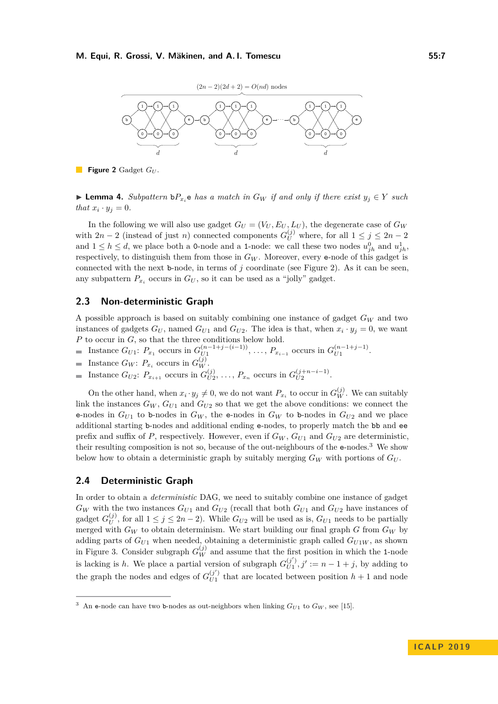

**Figure 2** Gadget *G<sup>U</sup>* .

► **Lemma 4.** Subpattern  $\mathbf{b}P_{x_i}$  e has a match in  $G_W$  if and only if there exist  $y_j \in Y$  such *that*  $x_i \cdot y_j = 0$ *.* 

In the following we will also use gadget  $G_U = (V_U, E_U, L_U)$ , the degenerate case of  $G_W$ with  $2n - 2$  (instead of just *n*) connected components  $G_U^{(j)}$  where, for all  $1 \le j \le 2n - 2$ and  $1 \leq h \leq d$ , we place both a 0-node and a 1-node: we call these two nodes  $u_{jh}^0$  and  $u_{jh}^1$ , respectively, to distinguish them from those in  $G_W$ . Moreover, every  $e$ -node of this gadget is connected with the next b-node, in terms of *j* coordinate (see Figure 2). As it can be seen, any subpattern  $P_{x_i}$  occurs in  $G_U$ , so it can be used as a "jolly" gadget.

### **2.3 Non-deterministic Graph**

A possible approach is based on suitably combining one instance of gadget *G<sup>W</sup>* and two instances of gadgets  $G_U$ , named  $G_{U1}$  and  $G_{U2}$ . The idea is that, when  $x_i \cdot y_j = 0$ , we want *P* to occur in *G*, so that the three conditions below hold.

- Instance  $G_{U1}$ :  $P_{x_1}$  occurs in  $G_{U1}^{(n-1+j-(i-1))}$  $U_1^{(n-1+j-(i-1))}$ , ...,  $P_{x_{i-1}}$  occurs in  $G_{U1}^{(n-1+j-1)}$  $U_1^{(n-1+j-1)}$ .
- Instance  $G_W$ :  $P_{x_i}$  occurs in  $G_W^{(j)}$ .  $\overline{\phantom{0}}$
- Instance  $G_{U2}$ :  $P_{x_{i+1}}$  occurs in  $G_{U2}^{(j)}$  $U_{U2}^{(j)}, \ldots, P_{x_n}$  occurs in  $G_{U2}^{(j+n-i-1)}$  $U_2^{(j+n-i-1)}$ .  $\overline{\phantom{a}}$

On the other hand, when  $x_i \cdot y_j \neq 0$ , we do not want  $P_{x_i}$  to occur in  $G_W^{(j)}$ . We can suitably link the instances  $G_W$ ,  $G_{U1}$  and  $G_{U2}$  so that we get the above conditions: we connect the e-nodes in  $G_{U1}$  to b-nodes in  $G_W$ , the e-nodes in  $G_W$  to b-nodes in  $G_{U2}$  and we place additional starting b-nodes and additional ending e-nodes, to properly match the bb and ee prefix and suffix of *P*, respectively. However, even if  $G_W$ ,  $G_{U1}$  and  $G_{U2}$  are deterministic. their resulting composition is not so, because of the out-neighbours of the e-nodes.3 We show below how to obtain a deterministic graph by suitably merging  $G_W$  with portions of  $G_U$ .

#### **2.4 Deterministic Graph**

In order to obtain a *deterministic* DAG, we need to suitably combine one instance of gadget  $G_W$  with the two instances  $G_{U1}$  and  $G_{U2}$  (recall that both  $G_{U1}$  and  $G_{U2}$  have instances of gadget  $G_{II}^{(j)}$  $U$ , for all  $1 \leq j \leq 2n-2$ ). While  $G_{U2}$  will be used as is,  $G_{U1}$  needs to be partially merged with  $G_W$  to obtain determinism. We start building our final graph  $G$  from  $G_W$  by adding parts of  $G_{U1}$  when needed, obtaining a deterministic graph called  $G_{U1W}$ , as shown in Figure 3. Consider subgraph  $G_W^{(j)}$  and assume that the first position in which the 1-node is lacking is *h*. We place a partial version of subgraph  $G_{U1}^{(j')}$  $U_{U_1}^{(j')}, j' := n - 1 + j$ , by adding to the graph the nodes and edges of  $G_{U_1}^{(j')}$  $U_1^{(j)}$  that are located between position  $h+1$  and node

An e-node can have two b-nodes as out-neighbors when linking  $G_{U1}$  to  $G_W$ , see [15].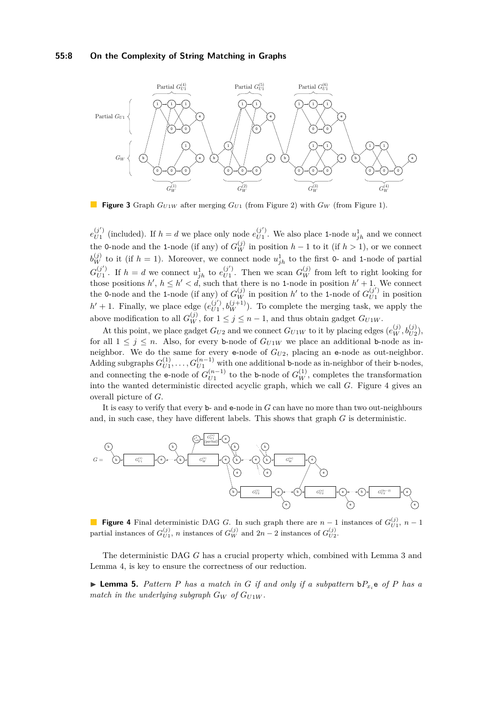#### **55:8 On the Complexity of String Matching in Graphs**



**Figure 3** Graph  $G_{U1W}$  after merging  $G_{U1}$  (from Figure 2) with  $G_W$  (from Figure 1).

 $e_{II1}^{(j')}$  $U_1^{(j')}$  (included). If  $h = d$  we place only node  $e_{U_1}^{(j')}$  $U_1^{(j')}$ . We also place 1-node  $u_{jh}^1$  and we connect the 0-node and the 1-node (if any) of  $G_W^{(j)}$  in position  $h-1$  to it (if  $h > 1$ ), or we connect  $b_W^{(j)}$  to it (if  $h = 1$ ). Moreover, we connect node  $u_{jh}^1$  to the first 0- and 1-node of partial  $G_{\scriptscriptstyle II1}^{(j^\prime)}$  $U_1^{(j')}$ . If  $h = d$  we connect  $u_{jh}^1$  to  $e_{U1}^{(j')}$  $U_{U1}^{(j')}$ . Then we scan  $G_W^{(j)}$  from left to right looking for those positions  $h'$ ,  $h \leq h' < d$ , such that there is no 1-node in position  $h' + 1$ . We connect the 0-node and the 1-node (if any) of  $G_W^{(j)}$  in position *h*<sup>'</sup> to the 1-node of  $G_{U_1}^{(j')}$  $U_1^{(j)}$  in position  $h' + 1$ . Finally, we place edge  $(e_{U1}^{(j')})$  $U_{U1}^{(j')}, b_W^{(j+1)}$ ). To complete the merging task, we apply the above modification to all  $G_W^{(j)}$ , for  $1 \leq j \leq n-1$ , and thus obtain gadget  $G_{U1W}$ .

At this point, we place gadget  $G_{U2}$  and we connect  $G_{U1W}$  to it by placing edges  $(e_W^{(j)}, b_{U2}^{(j)})$ , for all  $1 \leq j \leq n$ . Also, for every b-node of  $G_{U1W}$  we place an additional b-node as inneighbor. We do the same for every e-node of *GU*2, placing an e-node as out-neighbor. Adding subgraphs  $G_{U1}^{(1)}$  $U_{U1}^{(1)}, \ldots, G_{U1}^{(n-1)}$  with one additional b-node as in-neighbor of their b-nodes, and connecting the e-node of  $G_{U1}^{(n-1)}$  $U_1^{(n-1)}$  to the **b**-node of  $G_W^{(1)}$ , completes the transformation into the wanted deterministic directed acyclic graph, which we call *G*. Figure 4 gives an overall picture of *G*.

It is easy to verify that every b- and e-node in *G* can have no more than two out-neighbours and, in such case, they have different labels. This shows that graph *G* is deterministic.



**Figure 4** Final deterministic DAG *G*. In such graph there are  $n-1$  instances of  $G_{U_1}^{(j)}$ ,  $n-1$ partial instances of  $G_{U1}^{(j)}$ , *n* instances of  $G_W^{(j)}$  and  $2n-2$  instances of  $G_{U2}^{(j)}$ .

The deterministic DAG *G* has a crucial property which, combined with Lemma 3 and Lemma 4, is key to ensure the correctness of our reduction.

 $\blacktriangleright$  **Lemma 5.** Pattern P has a match in G if and only if a subpattern  $bP_x$  e of P has a *match in the underlying subgraph*  $G_W$  *of*  $G_{U1W}$ *.*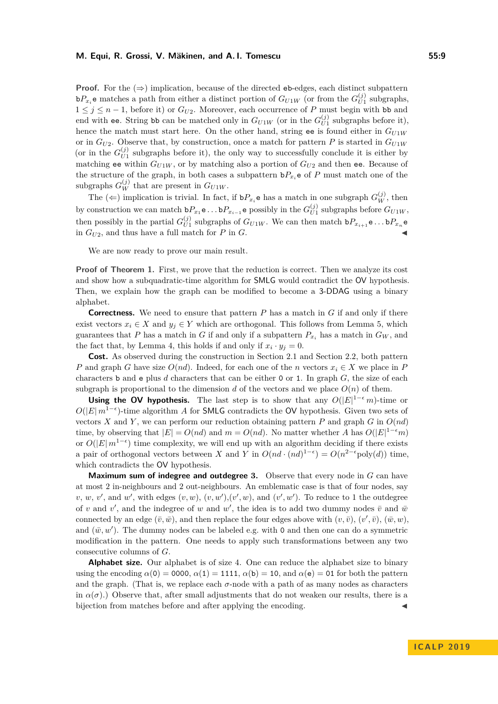**Proof.** For the  $(\Rightarrow)$  implication, because of the directed eb-edges, each distinct subpattern  $bP_{x_i}$ **e** matches a path from either a distinct portion of  $G_{U1W}$  (or from the  $G_{U1}^{(j)}$  $U_1^{(J)}$  subgraphs,  $1 \leq j \leq n-1$ , before it) or  $G_{U2}$ . Moreover, each occurrence of P must begin with bb and end with ee. String bb can be matched only in  $G_{U1W}$  (or in the  $G_{U1}^{(j)}$  $U_1^{(1)}$  subgraphs before it), hence the match must start here. On the other hand, string ee is found either in *GU*1*<sup>W</sup>* or in  $G_{U2}$ . Observe that, by construction, once a match for pattern *P* is started in  $G_{U1W}$ (or in the  $G_{II1}^{(j)}$  $U<sub>U1</sub>$  subgraphs before it), the only way to successfully conclude it is either by matching ee within  $G_{U1W}$ , or by matching also a portion of  $G_{U2}$  and then ee. Because of the structure of the graph, in both cases a subpattern  $bP_{x_i}$ **e** of *P* must match one of the subgraphs  $G_W^{(j)}$  that are present in  $G_{U1W}$ .

The  $(\Leftarrow)$  implication is trivial. In fact, if  $bP_{x_i}$ **e** has a match in one subgraph  $G_W^{(j)}$ , then by construction we can match  $bP_{x_1}e \ldots bP_{x_{i-1}}e$  possibly in the  $G_{U1}^{(j)}$  $U_{U1}^{(J)}$  subgraphs before  $G_{U1W}$ , then possibly in the partial  $G_{II}^{(j)}$  $U_{U1}^{(j)}$  subgraphs of  $G_{U1W}$ . We can then match  $\mathbf{b}P_{x_{i+1}}\mathbf{e}\ldots\mathbf{b}P_{x_n}\mathbf{e}$ in  $G_{U2}$ , and thus have a full match for  $P$  in  $G$ .

We are now ready to prove our main result.

**Proof of Theorem 1.** First, we prove that the reduction is correct. Then we analyze its cost and show how a subquadratic-time algorithm for SMLG would contradict the OV hypothesis. Then, we explain how the graph can be modified to become a 3-DDAG using a binary alphabet.

**Correctness.** We need to ensure that pattern *P* has a match in *G* if and only if there exist vectors  $x_i \in X$  and  $y_j \in Y$  which are orthogonal. This follows from Lemma 5, which guarantees that P has a match in G if and only if a subpattern  $P_x$ , has a match in  $G_W$ , and the fact that, by Lemma 4, this holds if and only if  $x_i \cdot y_j = 0$ .

**Cost.** As observed during the construction in Section 2.1 and Section 2.2, both pattern *P* and graph *G* have size  $O(nd)$ . Indeed, for each one of the *n* vectors  $x_i \in X$  we place in *P* characters b and e plus *d* characters that can be either 0 or 1. In graph *G*, the size of each subgraph is proportional to the dimension *d* of the vectors and we place  $O(n)$  of them.

**Using the OV hypothesis.** The last step is to show that any  $O(|E|^{1-\epsilon}m)$ -time or  $O(|E| \, m^{1-\epsilon})$ -time algorithm *A* for **SMLG** contradicts the **OV** hypothesis. Given two sets of vectors *X* and *Y*, we can perform our reduction obtaining pattern *P* and graph *G* in  $O(nd)$ time, by observing that  $|E| = O(nd)$  and  $m = O(nd)$ . No matter whether *A* has  $O(|E|^{1-\epsilon}m)$ or  $O(|E|m^{1-\epsilon})$  time complexity, we will end up with an algorithm deciding if there exists a pair of orthogonal vectors between *X* and *Y* in  $O(nd \cdot (nd)^{1-\epsilon}) = O(n^{2-\epsilon} \text{poly}(d))$  time, which contradicts the OV hypothesis.

**Maximum sum of indegree and outdegree 3.** Observe that every node in *G* can have at most 2 in-neighbours and 2 out-neighbours. An emblematic case is that of four nodes, say  $v, w, v'$ , and  $w'$ , with edges  $(v, w)$ ,  $(v, w')$ ,  $(v', w)$ , and  $(v', w')$ . To reduce to 1 the outdegree of *v* and *v*', and the indegree of *w* and *w*', the idea is to add two dummy nodes  $\bar{v}$  and  $\bar{w}$ connected by an edge  $(\bar{v}, \bar{w})$ , and then replace the four edges above with  $(v, \bar{v})$ ,  $(v', \bar{v})$ ,  $(\bar{w}, w)$ , and  $(\bar{w}, w')$ . The dummy nodes can be labeled e.g. with 0 and then one can do a symmetric modification in the pattern. One needs to apply such transformations between any two consecutive columns of *G*.

**Alphabet size.** Our alphabet is of size 4. One can reduce the alphabet size to binary using the encoding  $\alpha(0) = 0000$ ,  $\alpha(1) = 1111$ ,  $\alpha(b) = 10$ , and  $\alpha(e) = 01$  for both the pattern and the graph. (That is, we replace each  $\sigma$ -node with a path of as many nodes as characters in  $\alpha(\sigma)$ .) Observe that, after small adjustments that do not weaken our results, there is a bijection from matches before and after applying the encoding.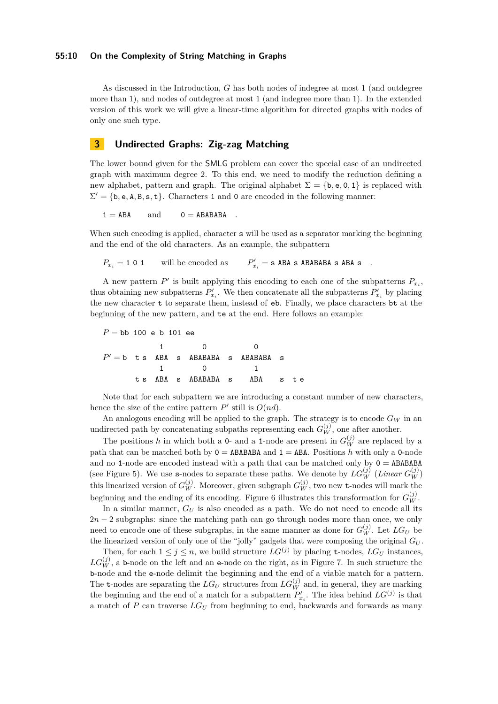As discussed in the Introduction, *G* has both nodes of indegree at most 1 (and outdegree more than 1), and nodes of outdegree at most 1 (and indegree more than 1). In the extended version of this work we will give a linear-time algorithm for directed graphs with nodes of only one such type.

## **3 Undirected Graphs: Zig-zag Matching**

The lower bound given for the SMLG problem can cover the special case of an undirected graph with maximum degree 2. To this end, we need to modify the reduction defining a new alphabet, pattern and graph. The original alphabet  $\Sigma = \{b, e, 0, 1\}$  is replaced with  $\Sigma' = \{b, e, A, B, s, t\}.$  Characters 1 and 0 are encoded in the following manner:

 $1 = ABA$  and  $0 = ABABABA$ 

When such encoding is applied, character **s** will be used as a separator marking the beginning and the end of the old characters. As an example, the subpattern

 $P_{x_i} = 101$  will be encoded as  $\mathbf{z}'_i = \mathbf{s}$  ABA  $\mathbf{s}$  ABABABA  $\mathbf{s}$  ABA  $\mathbf{s}$  .

A new pattern  $P'$  is built applying this encoding to each one of the subpatterns  $P_{x_i}$ , thus obtaining new subpatterns  $P'_{x_i}$ . We then concatenate all the subpatterns  $P'_{x_i}$  by placing the new character t to separate them, instead of eb. Finally, we place characters bt at the beginning of the new pattern, and te at the end. Here follows an example:

 $P =$ bb 100 e b 101 ee 1 0 0  $P' = b$  t s ABA s ABABABA s ABABABA s 1 0 1 t s ABA s ABABABA s ABA s t e

Note that for each subpattern we are introducing a constant number of new characters, hence the size of the entire pattern  $P'$  still is  $O(nd)$ .

An analogous encoding will be applied to the graph. The strategy is to encode *G<sup>W</sup>* in an undirected path by concatenating subpaths representing each  $G_W^{(j)}$ , one after another.

The positions *h* in which both a 0- and a 1-node are present in  $G_W^{(j)}$  are replaced by a path that can be matched both by  $0 = ABABABA$  and  $1 = ABA$ . Positions *h* with only a 0-node and no 1-node are encoded instead with a path that can be matched only by  $0 = ABABABA$ (see Figure 5). We use **s**-nodes to separate these paths. We denote by  $LG_W^{(j)}$  (*Linear*  $G_W^{(j)}$ ) this linearized version of  $G_W^{(j)}$ . Moreover, given subgraph  $G_W^{(j)}$ , two new t-nodes will mark the beginning and the ending of its encoding. Figure 6 illustrates this transformation for  $G_W^{(j)}$ .

In a similar manner,  $G_U$  is also encoded as a path. We do not need to encode all its 2*n* − 2 subgraphs: since the matching path can go through nodes more than once, we only need to encode one of these subgraphs, in the same manner as done for  $G_W^{(j)}$ . Let  $LG_U$  be the linearized version of only one of the "jolly" gadgets that were composing the original *G<sup>U</sup>* .

Then, for each  $1 \leq j \leq n$ , we build structure  $LG^{(j)}$  by placing **t**-nodes,  $LG_U$  instances,  $LG_W^{(j)}$ , a b-node on the left and an e-node on the right, as in Figure 7. In such structure the b-node and the e-node delimit the beginning and the end of a viable match for a pattern. The t-nodes are separating the  $LG_U$  structures from  $LG_W^{(j)}$  and, in general, they are marking the beginning and the end of a match for a subpattern  $P'_{x_i}$ . The idea behind  $LG^{(j)}$  is that a match of *P* can traverse *LG<sup>U</sup>* from beginning to end, backwards and forwards as many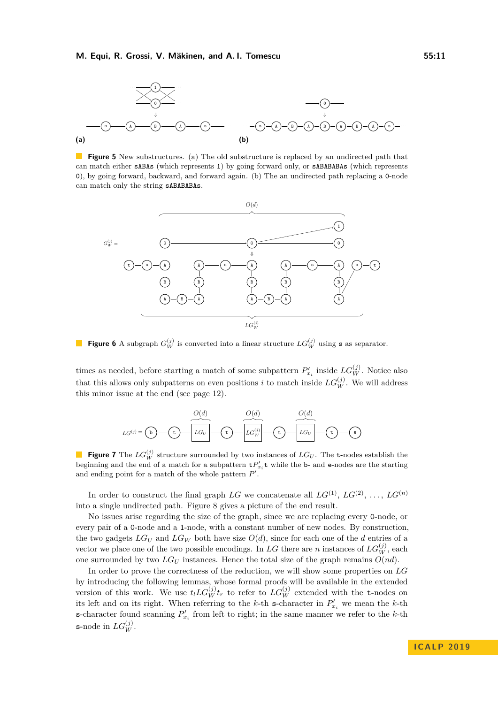

**Figure 5** New substructures. (a) The old substructure is replaced by an undirected path that can match either sABAs (which represents 1) by going forward only, or sABABABAs (which represents 0), by going forward, backward, and forward again. (b) The an undirected path replacing a 0-node can match only the string sABABABAs.



**Figure 6** A subgraph  $G_W^{(j)}$  is converted into a linear structure  $LG_W^{(j)}$  using s as separator.

times as needed, before starting a match of some subpattern  $P'_{x_i}$  inside  $LG_W^{(j)}$ . Notice also that this allows only subpatterns on even positions *i* to match inside  $LG_W^{(j)}$ . We will address this minor issue at the end (see page 12).



**Figure 7** The  $LG_W^{(j)}$  structure surrounded by two instances of  $LG_U$ . The t-nodes establish the beginning and the end of a match for a subpattern  $\mathbf{t}P'_{x_i}\mathbf{t}$  while the b- and e-nodes are the starting and ending point for a match of the whole pattern  $P'$ .

In order to construct the final graph  $LG$  we concatenate all  $LG^{(1)}$ ,  $LG^{(2)}$ , ...,  $LG^{(n)}$ into a single undirected path. Figure 8 gives a picture of the end result.

No issues arise regarding the size of the graph, since we are replacing every 0-node, or every pair of a 0-node and a 1-node, with a constant number of new nodes. By construction, the two gadgets  $LG_U$  and  $LG_W$  both have size  $O(d)$ , since for each one of the *d* entries of a vector we place one of the two possible encodings. In  $LG$  there are *n* instances of  $LG_W^{(j)}$ , each one surrounded by two  $LG_U$  instances. Hence the total size of the graph remains  $O(nd)$ .

In order to prove the correctness of the reduction, we will show some properties on *LG* by introducing the following lemmas, whose formal proofs will be available in the extended version of this work. We use  $t_l L G_W^{(j)} t_r$  to refer to  $L G_W^{(j)}$  extended with the t-nodes on its left and on its right. When referring to the *k*-th s-character in  $P'_{x_i}$  we mean the *k*-th **s**-character found scanning  $P'_{x_i}$  from left to right; in the same manner we refer to the *k*-th s-node in  $LG_W^{(j)}$ .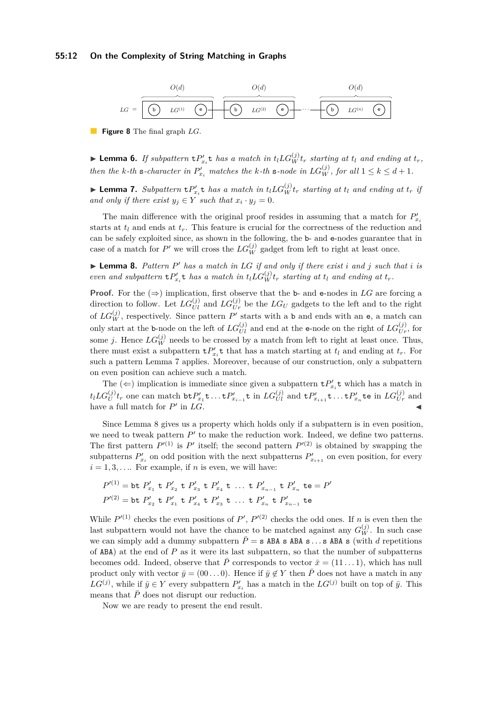#### **55:12 On the Complexity of String Matching in Graphs**



**Figure 8** The final graph *LG*.

**Lemma 6.** If subpattern  $tP'_{x_i}t$  has a match in  $t_lLG_W^{(j)}t_r$  starting at  $t_l$  and ending at  $t_r$ , *then the k*-th **s**-character in  $P'_{x_i}$  matches the *k*-th **s**-node in  $LG_W^{(j)}$ , for all  $1 \leq k \leq d+1$ .

► Lemma 7. Subpattern  $tP'_{x_i}t$  has a match in  $t_l LG_W^{(j)}t_r$  starting at  $t_l$  and ending at  $t_r$  if *and only if there exist*  $y_j \in Y$  *such that*  $x_i \cdot y_j = 0$ *.* 

The main difference with the original proof resides in assuming that a match for  $P'_{x_i}$ starts at  $t_l$  and ends at  $t_r$ . This feature is crucial for the correctness of the reduction and can be safely exploited since, as shown in the following, the b- and e-nodes guarantee that in case of a match for  $P'$  we will cross the  $LG_W^{(j)}$  gadget from left to right at least once.

 $\blacktriangleright$  **Lemma 8.** Pattern P' has a match in LG if and only if there exist *i* and *j* such that *i* is *even and subpattern*  $\mathbf{t}P'_{x_i}\mathbf{t}$  *has a match in*  $t_l LG_W^{(j)}t_r$  *starting at*  $t_l$  *and ending at*  $t_r$ *.* 

**Proof.** For the  $(\Rightarrow)$  implication, first observe that the b- and e-nodes in LG are forcing a direction to follow. Let  $LG_{UI}^{(j)}$  and  $LG_{Ur}^{(j)}$  be the  $LG_U$  gadgets to the left and to the right of  $LG_W^{(j)}$ , respectively. Since pattern  $P'$  starts with a b and ends with an e, a match can only start at the b-node on the left of  $LG_{UI}^{(j)}$  and end at the e-node on the right of  $LG_{Ur}^{(j)}$ , for some *j*. Hence  $LG_W^{(j)}$  needs to be crossed by a match from left to right at least once. Thus, there must exist a subpattern  $\mathbf{t}P'_{x_i}\mathbf{t}$  that has a match starting at  $t_l$  and ending at  $t_r$ . For such a pattern Lemma 7 applies. Moreover, because of our construction, only a subpattern on even position can achieve such a match.

The  $(\Leftarrow)$  implication is immediate since given a subpattern  $\mathbf{t}P'_{x_i}\mathbf{t}$  which has a match in  $t_lLG_U^{(j)}t_r$  one can match  $\mathtt{btP}'_{x_1}\mathtt{t} \ldots \mathtt{tP}'_{x_{i-1}}\mathtt{t}$  in  $LG_{UI}^{(j)}$  and  $\mathtt{tP}'_{x_{i+1}}\mathtt{t} \ldots \mathtt{tP}'_{x_n}\mathtt{te}$  in  $LG_{Ur}^{(j)}$  and have a full match for  $P'$ in  $LG$ .

Since Lemma 8 gives us a property which holds only if a subpattern is in even position, we need to tweak pattern  $P'$  to make the reduction work. Indeed, we define two patterns. The first pattern  $P^{(1)}$  is  $P'$  itself; the second pattern  $P^{(2)}$  is obtained by swapping the subpatterns  $P'_{x_i}$  on odd position with the next subpatterns  $P'_{x_{i+1}}$  on even position, for every  $i = 1, 3, \ldots$  For example, if *n* is even, we will have:

$$
P^{(1)} = \text{bt } P'_{x_1} \text{ t } P'_{x_2} \text{ t } P'_{x_3} \text{ t } P'_{x_4} \text{ t } \dots \text{ t } P'_{x_{n-1}} \text{ t } P'_{x_n} \text{ t } e = P'
$$
  

$$
P^{(2)} = \text{bt } P'_{x_2} \text{ t } P'_{x_1} \text{ t } P'_{x_4} \text{ t } P'_{x_3} \text{ t } \dots \text{ t } P'_{x_n} \text{ t } P'_{x_{n-1}} \text{ t } e
$$

While  $P^{(1)}$  checks the even positions of  $P'$ ,  $P^{(2)}$  checks the odd ones. If *n* is even then the last subpattern would not have the chance to be matched against any  $G_W^{(j)}$ . In such case we can simply add a dummy subpattern  $\bar{P} = s$  ABA s ABA s  $\ldots$  s ABA s (with *d* repetitions of ABA) at the end of *P* as it were its last subpattern, so that the number of subpatterns becomes odd. Indeed, observe that  $\overline{P}$  corresponds to vector  $\overline{x} = (11 \dots 1)$ , which has null product only with vector  $\bar{y} = (00 \dots 0)$ . Hence if  $\bar{y} \notin Y$  then  $\bar{P}$  does not have a match in any  $LG^{(j)}$ , while if  $\bar{y} \in Y$  every subpattern  $P'_{x_i}$  has a match in the  $LG^{(j)}$  built on top of  $\bar{y}$ . This means that  $\bar{P}$  does not disrupt our reduction.

Now we are ready to present the end result.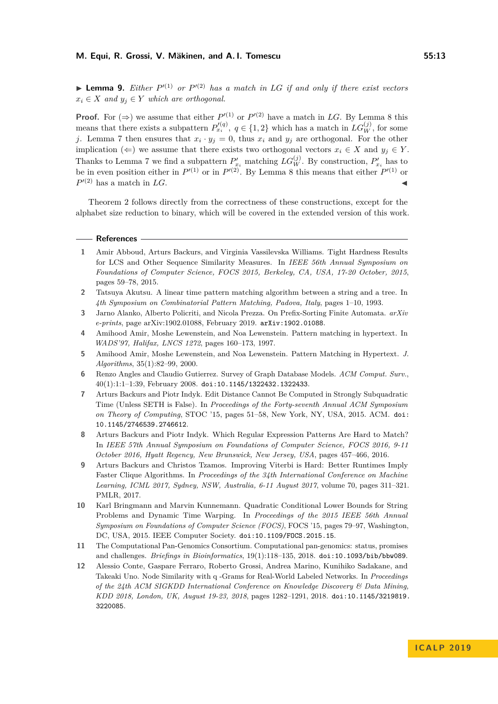**Lemma 9.** *Either*  $P^{(1)}$  *or*  $P^{(2)}$  *has a match in LG if and only if there exist vectors*  $x_i \in X$  *and*  $y_i \in Y$  *which are orthogonal.* 

**Proof.** For  $(\Rightarrow)$  we assume that either  $P^{(1)}$  or  $P^{(2)}$  have a match in LG. By Lemma 8 this means that there exists a subpattern  $P_{x_i}^{\prime(q)}$ ,  $q \in \{1,2\}$  which has a match in  $LG_W^{(j)}$ , for some *j*. Lemma 7 then ensures that  $x_i \cdot y_j = 0$ , thus  $x_i$  and  $y_j$  are orthogonal. For the other implication ( $\Leftarrow$ ) we assume that there exists two orthogonal vectors  $x_i \in X$  and  $y_j \in Y$ . Thanks to Lemma 7 we find a subpattern  $P'_{x_i}$  matching  $LG_W^{(j)}$ . By construction,  $P'_{x_i}$  has to be in even position either in  $P^{(1)}$  or in  $P^{(2)}$ . By Lemma 8 this means that either  $P^{(1)}$  or  $P'^{(2)}$  has a match in *LG*.

Theorem 2 follows directly from the correctness of these constructions, except for the alphabet size reduction to binary, which will be covered in the extended version of this work.

#### **References**

- **1** Amir Abboud, Arturs Backurs, and Virginia Vassilevska Williams. Tight Hardness Results for LCS and Other Sequence Similarity Measures. In *IEEE 56th Annual Symposium on Foundations of Computer Science, FOCS 2015, Berkeley, CA, USA, 17-20 October, 2015*, pages 59–78, 2015.
- **2** Tatsuya Akutsu. A linear time pattern matching algorithm between a string and a tree. In *4th Symposium on Combinatorial Pattern Matching, Padova, Italy*, pages 1–10, 1993.
- **3** Jarno Alanko, Alberto Policriti, and Nicola Prezza. On Prefix-Sorting Finite Automata. *arXiv e-prints*, page arXiv:1902.01088, February 2019. [arXiv:1902.01088](http://arxiv.org/abs/1902.01088).
- **4** Amihood Amir, Moshe Lewenstein, and Noa Lewenstein. Pattern matching in hypertext. In *WADS'97, Halifax, LNCS 1272*, pages 160–173, 1997.
- **5** Amihood Amir, Moshe Lewenstein, and Noa Lewenstein. Pattern Matching in Hypertext. *J. Algorithms*, 35(1):82–99, 2000.
- **6** Renzo Angles and Claudio Gutierrez. Survey of Graph Database Models. *ACM Comput. Surv.*, 40(1):1:1–1:39, February 2008. [doi:10.1145/1322432.1322433](http://dx.doi.org/10.1145/1322432.1322433).
- **7** Arturs Backurs and Piotr Indyk. Edit Distance Cannot Be Computed in Strongly Subquadratic Time (Unless SETH is False). In *Proceedings of the Forty-seventh Annual ACM Symposium on Theory of Computing*, STOC '15, pages 51–58, New York, NY, USA, 2015. ACM. [doi:](http://dx.doi.org/10.1145/2746539.2746612) [10.1145/2746539.2746612](http://dx.doi.org/10.1145/2746539.2746612).
- **8** Arturs Backurs and Piotr Indyk. Which Regular Expression Patterns Are Hard to Match? In *IEEE 57th Annual Symposium on Foundations of Computer Science, FOCS 2016, 9-11 October 2016, Hyatt Regency, New Brunswick, New Jersey, USA*, pages 457–466, 2016.
- **9** Arturs Backurs and Christos Tzamos. Improving Viterbi is Hard: Better Runtimes Imply Faster Clique Algorithms. In *Proceedings of the 34th International Conference on Machine Learning, ICML 2017, Sydney, NSW, Australia, 6-11 August 2017*, volume 70, pages 311–321. PMLR, 2017.
- **10** Karl Bringmann and Marvin Kunnemann. Quadratic Conditional Lower Bounds for String Problems and Dynamic Time Warping. In *Proceedings of the 2015 IEEE 56th Annual Symposium on Foundations of Computer Science (FOCS)*, FOCS '15, pages 79–97, Washington, DC, USA, 2015. IEEE Computer Society. [doi:10.1109/FOCS.2015.15](http://dx.doi.org/10.1109/FOCS.2015.15).
- **11** The Computational Pan-Genomics Consortium. Computational pan-genomics: status, promises and challenges. *Briefings in Bioinformatics*, 19(1):118–135, 2018. [doi:10.1093/bib/bbw089](http://dx.doi.org/10.1093/bib/bbw089).
- **12** Alessio Conte, Gaspare Ferraro, Roberto Grossi, Andrea Marino, Kunihiko Sadakane, and Takeaki Uno. Node Similarity with q -Grams for Real-World Labeled Networks. In *Proceedings of the 24th ACM SIGKDD International Conference on Knowledge Discovery & Data Mining, KDD 2018, London, UK, August 19-23, 2018*, pages 1282–1291, 2018. [doi:10.1145/3219819.](http://dx.doi.org/10.1145/3219819.3220085) [3220085](http://dx.doi.org/10.1145/3219819.3220085).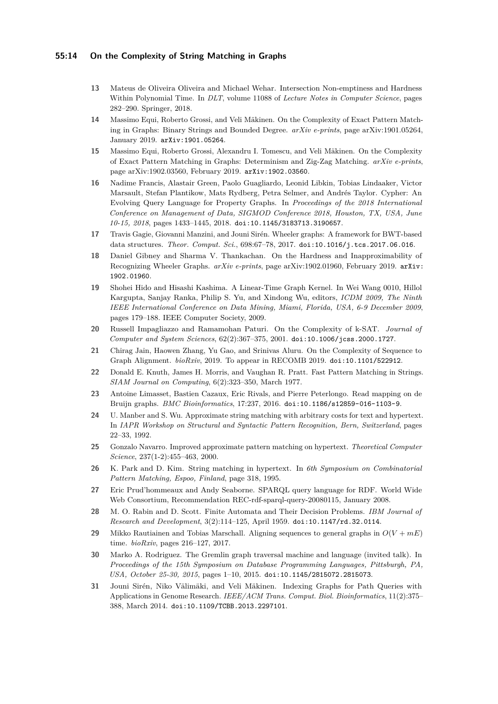#### **55:14 On the Complexity of String Matching in Graphs**

- **13** Mateus de Oliveira Oliveira and Michael Wehar. Intersection Non-emptiness and Hardness Within Polynomial Time. In *DLT*, volume 11088 of *Lecture Notes in Computer Science*, pages 282–290. Springer, 2018.
- **14** Massimo Equi, Roberto Grossi, and Veli Mäkinen. On the Complexity of Exact Pattern Matching in Graphs: Binary Strings and Bounded Degree. *arXiv e-prints*, page arXiv:1901.05264, January 2019. [arXiv:1901.05264](http://arxiv.org/abs/1901.05264).
- **15** Massimo Equi, Roberto Grossi, Alexandru I. Tomescu, and Veli Mäkinen. On the Complexity of Exact Pattern Matching in Graphs: Determinism and Zig-Zag Matching. *arXiv e-prints*, page arXiv:1902.03560, February 2019. [arXiv:1902.03560](http://arxiv.org/abs/1902.03560).
- **16** Nadime Francis, Alastair Green, Paolo Guagliardo, Leonid Libkin, Tobias Lindaaker, Victor Marsault, Stefan Plantikow, Mats Rydberg, Petra Selmer, and Andrés Taylor. Cypher: An Evolving Query Language for Property Graphs. In *Proceedings of the 2018 International Conference on Management of Data, SIGMOD Conference 2018, Houston, TX, USA, June 10-15, 2018*, pages 1433–1445, 2018. [doi:10.1145/3183713.3190657](http://dx.doi.org/10.1145/3183713.3190657).
- **17** Travis Gagie, Giovanni Manzini, and Jouni Sirén. Wheeler graphs: A framework for BWT-based data structures. *Theor. Comput. Sci.*, 698:67–78, 2017. [doi:10.1016/j.tcs.2017.06.016](http://dx.doi.org/10.1016/j.tcs.2017.06.016).
- **18** Daniel Gibney and Sharma V. Thankachan. On the Hardness and Inapproximability of Recognizing Wheeler Graphs. *arXiv e-prints*, page arXiv:1902.01960, February 2019. [arXiv:](http://arxiv.org/abs/1902.01960) [1902.01960](http://arxiv.org/abs/1902.01960).
- **19** Shohei Hido and Hisashi Kashima. A Linear-Time Graph Kernel. In Wei Wang 0010, Hillol Kargupta, Sanjay Ranka, Philip S. Yu, and Xindong Wu, editors, *ICDM 2009, The Ninth IEEE International Conference on Data Mining, Miami, Florida, USA, 6-9 December 2009*, pages 179–188. IEEE Computer Society, 2009.
- **20** Russell Impagliazzo and Ramamohan Paturi. On the Complexity of k-SAT. *Journal of Computer and System Sciences*, 62(2):367–375, 2001. [doi:10.1006/jcss.2000.1727](http://dx.doi.org/10.1006/jcss.2000.1727).
- **21** Chirag Jain, Haowen Zhang, Yu Gao, and Srinivas Aluru. On the Complexity of Sequence to Graph Alignment. *bioRxiv*, 2019. To appear in RECOMB 2019. [doi:10.1101/522912](http://dx.doi.org/10.1101/522912).
- **22** Donald E. Knuth, James H. Morris, and Vaughan R. Pratt. Fast Pattern Matching in Strings. *SIAM Journal on Computing*, 6(2):323–350, March 1977.
- **23** Antoine Limasset, Bastien Cazaux, Eric Rivals, and Pierre Peterlongo. Read mapping on de Bruijn graphs. *BMC Bioinformatics*, 17:237, 2016. [doi:10.1186/s12859-016-1103-9](http://dx.doi.org/10.1186/s12859-016-1103-9).
- **24** U. Manber and S. Wu. Approximate string matching with arbitrary costs for text and hypertext. In *IAPR Workshop on Structural and Syntactic Pattern Recognition, Bern, Switzerland*, pages 22–33, 1992.
- **25** Gonzalo Navarro. Improved approximate pattern matching on hypertext. *Theoretical Computer Science*, 237(1-2):455–463, 2000.
- **26** K. Park and D. Kim. String matching in hypertext. In *6th Symposium on Combinatorial Pattern Matching, Espoo, Finland*, page 318, 1995.
- **27** Eric Prud'hommeaux and Andy Seaborne. SPARQL query language for RDF. World Wide Web Consortium, Recommendation REC-rdf-sparql-query-20080115, January 2008.
- **28** M. O. Rabin and D. Scott. Finite Automata and Their Decision Problems. *IBM Journal of Research and Development*, 3(2):114–125, April 1959. [doi:10.1147/rd.32.0114](http://dx.doi.org/10.1147/rd.32.0114).
- **29** Mikko Rautiainen and Tobias Marschall. Aligning sequences to general graphs in  $O(V + mE)$ time. *bioRxiv*, pages 216–127, 2017.
- **30** Marko A. Rodriguez. The Gremlin graph traversal machine and language (invited talk). In *Proceedings of the 15th Symposium on Database Programming Languages, Pittsburgh, PA, USA, October 25-30, 2015*, pages 1–10, 2015. [doi:10.1145/2815072.2815073](http://dx.doi.org/10.1145/2815072.2815073).
- **31** Jouni Sirén, Niko Välimäki, and Veli Mäkinen. Indexing Graphs for Path Queries with Applications in Genome Research. *IEEE/ACM Trans. Comput. Biol. Bioinformatics*, 11(2):375– 388, March 2014. [doi:10.1109/TCBB.2013.2297101](http://dx.doi.org/10.1109/TCBB.2013.2297101).